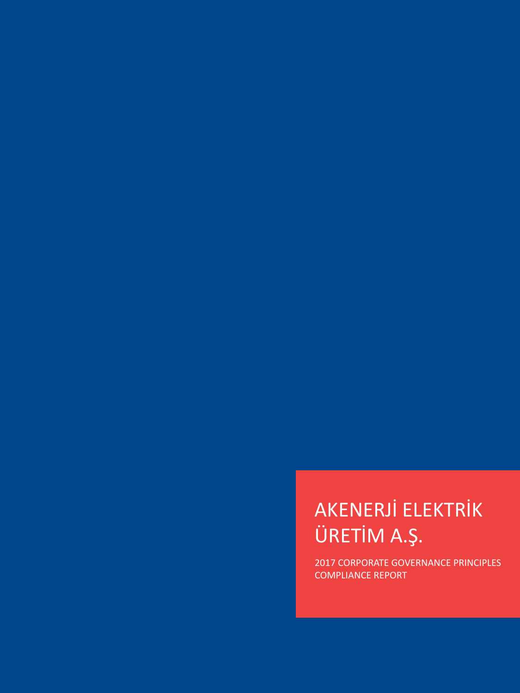# AKENERJİ ELEKTRİK ÜRETİM A.Ş.

2017 CORPORATE GOVERNANCE PRINCIPLES COMPLIANCE REPORT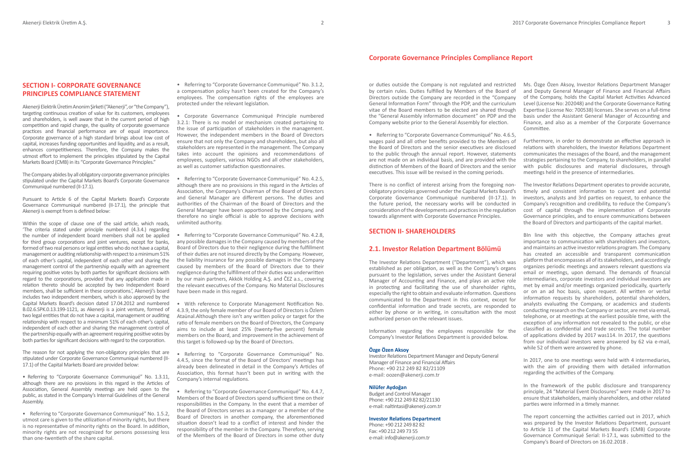# **SECTION I- CORPORATE GOVERNANCE PRINCIPLES COMPLIANCE STATEMENT**

Akenerji Elektrik Üretim Anonim Şirketi ("Akenerji", or "the Company"), targeting continuous creation of value for its customers, employees and shareholders, is well aware that in the current period of high competition and rapid change, the quality of corporate governance practices and financial performance are of equal importance. Corporate governance of a high standard brings about low cost of capital, increases funding opportunities and liquidity, and as a result, enhances competitiveness. Therefore, the Company makes the utmost effort to implement the principles stipulated by the Capital Markets Board (CMB) in its "Corporate Governance Principles."

The Company abides by all obligatory corporate governance principles stipulated under the Capital Markets Board's Corporate Governance Communiqué numbered (II-17.1).

Pursuant to Article 6 of the Capital Markets Board's Corporate Governance Communiqué numbered (II-17.1), the principle that Akenerji is exempt from is defined below:

Within the scope of clause one of the said article, which reads, 'The criteria stated under principle numbered (4.3.4.) regarding the number of independent board members shall not be applied for third group corporations and joint ventures, except for banks, formed of two real persons or legal entities who do not have a capital, management or auditing relationship with respect to a minimum 51% of each other's capital, independent of each other and sharing the management control of the partnership equally with an agreement requiring positive votes by both parties for significant decisions with regard to the corporations, provided that any application made in relation thereto should be accepted by two Independent Board members, shall be sufficient in these corporations.', Akenerji's board includes two independent members, which is also approved by the Capital Markets Board's decision dated 17.04.2012 and numbered B.02.6.SPK.0.13.199-1121, as Akenerji is a joint venture, formed of two legal entities that do not have a capital, management or auditing relationship with respect to a minimum 51% of each other's capital, independent of each other and sharing the management control of the partnership equally with an agreement requiring positive votes by both parties for significant decisions with regard to the corporation.

The reason for not applying the non-obligatory principles that are stipulated under Corporate Governance Communiqué numbered (II-17.1) of the Capital Markets Board are provided below:

• Referring to "Corporate Governance Communiqué" No. 1.3.11, although there are no provisions in this regard in the Articles of Association, General Assembly meetings are held open to the public, as stated in the Company's Internal Guidelines of the General Assembly.

• Referring to "Corporate Governance Communiqué" No. 1.5.2, utmost care is given to the utilization of minority rights, but there is no representative of minority rights on the Board. In addition, minority rights are not recognized for persons possessing less than one-twentieth of the share capital.

• Referring to "Corporate Governance Communiqué" No. 3.1.2, a compensation policy hasn't been created for the Company's employees. The compensation rights of the employees are protected under the relevant legislation.

• Corporate Governance Communiqué Principle numbered 3.2.1: There is no model or mechanism created pertaining to the issue of participation of stakeholders in the management. However, the independent members in the Board of Directors ensure that not only the Company and shareholders, but also all stakeholders are represented in the management. The Company takes into account the opinions and recommendations of employees, suppliers, various NGOs and all other stakeholders, as well as customer satisfaction questionnaires.

• Referring to "Corporate Governance Communiqué" No. 4.2.5, although there are no provisions in this regard in the Articles of Association, the Company's Chairman of the Board of Directors and General Manager are different persons. The duties and authorities of the Chairman of the Board of Directors and the General Manager have been apportioned by the Company, and therefore no single official is able to approve decisions with unlimited authority.

• Referring to "Corporate Governance Communiqué" No. 4.2.8, any possible damages in the Company caused by members of the Board of Directors due to their negligence during the fulfillment of their duties are not insured directly by the Company. However, the liability insurance for any possible damages in the Company caused by members of the Board of Directors due to their negligence during the fulfillment of their duties was underwritten by our main partners, Akkök Holding A.Ş. and ČEZ a.s., covering the relevant executives of the Company. No Material Disclosures have been made in this regard.

• With reference to Corporate Management Notification No. 4.3.9, the only female member of our Board of Directors is Özlem Ataünal.Although there isn't any written policy or target for the ratio of female members on the Board of Directors, the Company aims to include at least 25% (twenty-five percent) female members on the Board, and improvement in the achievement of this target is followed-up by the Board of Directors.

• Referring to "Corporate Governance Communiqué" No. 4.4.5, since the format of the Board of Directors' meetings has already been delineated in detail in the Company's Articles of Association, this format hasn't been put in writing with the Company's internal regulations.

• Referring to "Corporate Governance Communiqué" No. 4.4.7, Members of the Board of Directors spend sufficient time on their responsibilities in the Company. In the event that a member of the Board of Directors serves as a manager or a member of the Board of Directors in another company, the aforementioned situation doesn't lead to a conflict of interest and hinder the responsibility of the member in the Company. Therefore, serving of the Members of the Board of Directors in some other duty

or duties outside the Company is not regulated and restricted by certain rules. Duties fulfilled by Members of the Board of Directors outside the Company are recorded in the "Company General Information Form" through the PDP, and the curriculum vitae of the Board members to be elected are shared through the "General Assembly information document" on PDP and the Company website prior to the General Assembly for election.

• Referring to "Corporate Governance Communiqué" No. 4.6.5, wages paid and all other benefits provided to the Members of the Board of Directors and the senior executives are disclosed to the public through the annual report. However, statements are not made on an individual basis, and are provided with the distinction of Members of the Board of Directors and the senior executives. This issue will be revised in the coming periods.

There is no conflict of interest arising from the foregoing nonobligatory principles governed under the Capital Markets Board's Corporate Governance Communiqué numbered (II-17.1). In the future period, the necessary works will be conducted in consideration of the developments and practices in the regulation towards alignment with Corporate Governance Principles.

# **SECTION II- SHAREHOLDERS**

## **2.1. Investor Relation Department Bölümü**

The Investor Relations Department ("Department"), which was established as per obligation, as well as the Company's organs pursuant to the legislation, serves under the Assistant General Manager of Accounting and Finance, and plays an active role in protecting and facilitating the use of shareholder rights, especially the right to obtain and evaluate information. Questions communicated to the Department in this context, except for confidential information and trade secrets, are responded to either by phone or in writing, in consultation with the most authorized person on the relevant issues.

Information regarding the employees responsible for the Company's Investor Relations Department is provided below.

## **Özge Özen Aksoy**

Investor Relations Department Manager and Deputy General Manager of Finance and Financial Affairs Phone: +90 212 249 82 82/21109 e-mail: oozen@akenerji.com.tr

#### **Nilüfer Aydoğan**

Budget and Control Manager Phone: +90 212 249 82 82/21130 e-mail: naltintasi@akenerji.com.tr

#### **Investor Relations Department**

Phone: +90 212 249 82 82 Fax: +90 212 249 73 55 e-mail: info@akenerji.com.tr

Ms. Özge Özen Aksoy, Investor Relations Department Manager and Deputy General Manager of Finance and Financial Affairs of the Company, holds the Capital Market Activities Advanced Level (License No: 202048) and the Corporate Governance Rating Expertise (License No: 700538) licenses. She serves on a full-time basis under the Assistant General Manager of Accounting and Finance, and also as a member of the Corporate Governance Committee.

Furthermore, in order to demonstrate an effective approach in relations with shareholders, the Investor Relations Department communicates the messages of the Board, and the management strategies pertaining to the Company, to shareholders, in parallel with public disclosures and material disclosures, through meetings held in the presence of intermediaries.

The Investor Relations Department operates to provide accurate, timely and consistent information to current and potential investors, analysts and 3rd parties on request, to enhance the Company's recognition and credibility, to reduce the Company's cost of capital through the implementation of Corporate Governance principles, and to ensure communications between the Board of Directors and participants of the capital market.

BIn line with this objective, the Company attaches great importance to communication with shareholders and investors, and maintains an active investor relations program. The Company has created an accessible and transparent communication platform that encompasses all of its stakeholders, and accordingly organizes periodic meetings and answers relevant questions via email or meetings, upon demand. The demands of financial intermediaries, corporate investors and individual investors are met by email and/or meetings organized periodically, quarterly or on an ad hoc basis, upon request. All written or verbal information requests by shareholders, potential shareholders, analysts evaluating the Company, or academics and students conducting research on the Company or sector, are met via email, telephone, or at meetings at the earliest possible time, with the exception of any information not revealed to the public, or else classified as confidential and trade secrets. The total number of applications divided by 2017 was114. In 2017, the questions from our individual investors were answered by 62 via e-mail, while 52 of them were answered by phone.

In 2017, one to one meetings were held with 4 intermediaries, with the aim of providing them with detailed information regarding the activities of the Company.

In the framework of the public disclosure and transparency principle, 24 "Material Event Disclosures" were made in 2017 to ensure that stakeholders, mainly shareholders, and other related parties were informed in a timely manner.

The report concerning the activities carried out in 2017, which was prepared by the Investor Relations Department, pursuant to Article 11 of the Capital Markets Board's (CMB) Corporate Governance Communiqué Serial: II-17.1, was submitted to the Company's Board of Directors on 16.02.2018 .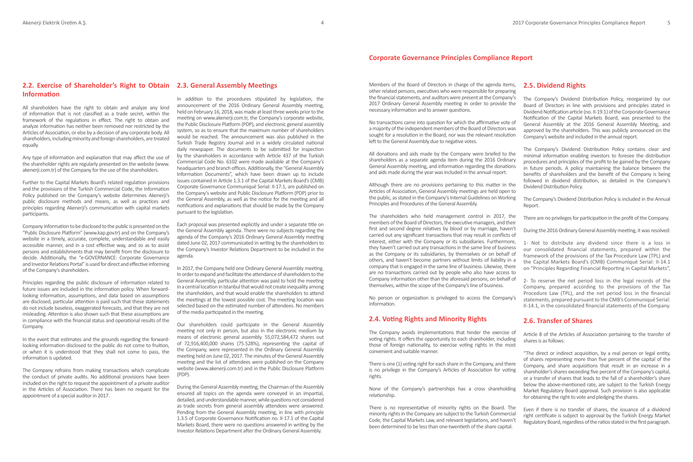# **2.2. Exercise of Shareholder's Right to Obtain 2.3. General Assembly Meetings Information**

All shareholders have the right to obtain and analyze any kind of information that is not classified as a trade secret, within the framework of the regulations in effect. The right to obtain and analyze information has neither been removed nor restricted by the Articles of Association, or else by a decision of any corporate body. All shareholders, including minority and foreign shareholders, are treated equally.

Any type of information and explanation that may affect the use of the shareholder rights are regularly presented on the website (www. akenerji.com.tr) of the Company for the use of the shareholders.

Further to the Capital Markets Board's related regulation provisions and the provisions of the Turkish Commercial Code, the Information Policy published on the Company's website determines Akenerji's public disclosure methods and means, as well as practices and principles regarding Akenerji's communication with capital markets participants.

Company information to be disclosed to the public is presented on the "Public Disclosure Platform" (www.kap.gov.tr) and on the Company's website in a timely, accurate, complete, understandable and easily accessible manner, and in a cost effective way, and so as to assist persons and establishments that may benefit from the disclosure to decide. Additionally, the "e-GOVERNANCE: Corporate Governance and Investor Relations Portal" is used for direct and effective informing of the Company's shareholders.

Principles regarding the public disclosure of information related to future issues are included in the information policy. When forwardlooking information, assumptions, and data based on assumptions are disclosed, particular attention is paid such that these statements do not include baseless, exaggerated forecasts, and that they are not misleading. Attention is also shown such that these assumptions are in compliance with the financial status and operational results of the Company.

In the event that estimates and the grounds regarding the forwardlooking information disclosed to the public do not come to fruition, or when it is understood that they shall not come to pass, the information is updated.

The Company refrains from making transactions which complicate the conduct of private audits. No additional provisions have been included on the right to request the appointment of a private auditor in the Articles of Association. There has been no request for the appointment of a special auditor in 2017.

In addition to the procedures stipulated by legislation, the announcement of the 2016 Ordinary General Assembly meeting, held on February 16, 2018, was made at least three weeks prior to the meeting on www.akenerji.com.tr, the Company's corporate website, the Public Disclosure Platform (PDP), and electronic general assembly system, so as to ensure that the maximum number of shareholders would be reached. The announcement was also published in the Turkish Trade Registry Journal and in a widely circulated national daily newspaper. The documents to be submitted for inspection by the shareholders in accordance with Article 437 of the Turkish Commercial Code No. 6102 were made available at the Company's headquarters and branch offices. Additionally, the "General Assembly Information Documents", which have been drawn up to include issues contained in Article 1.3.1 of the Capital Markets Board's (CMB) Corporate Governance Communiqué Serial: II-17.1, are published on the Company's website and Public Disclosure Platform (PDP) prior to the General Assembly, as well as the notice for the meeting and all notifications and explanations that should be made by the Company pursuant to the legislation.

Each proposal was presented explicitly and under a separate title on the General Assembly agenda. There were no subjects regarding the agenda of the Company's 2016 Ordinary General Assembly meeting dated June 02, 2017 communicated in writing by the shareholders to the Company's Investor Relations Department to be included in the agenda.

In 2017, the Company held one Ordinary General Assembly meeting. In order to expand and facilitate the attendance of shareholders to the General Assembly, particular attention was paid to hold the meeting in a central location in Istanbul that would not create inequality among the shareholders, and that would enable the shareholders to attend the meetings at the lowest possible cost. The meeting location was selected based on the estimated number of attendees. No members of the media participated in the meeting.

Our shareholders could participate in the General Assembly meeting not only in person, but also in the electronic medium by means of electronic general assembly. 55,072,584,472 shares out of 72,916,400,000 shares (75.528%), representing the capital of the Company, were represented in the Ordinary General Assembly meeting held on June 02, 2017. The minutes of the General Assembly meeting and the list of attendees were published on the Company website (www.akenerji.com.tr) and in the Public Disclosure Platform (PDP).

During the General Assembly meeting, the Chairman of the Assembly ensured all topics on the agenda were conveyed in an impartial, detailed, and understandable manner, while questions not considered as trade secrets from general assembly attendees were answered. Pending from the General Assembly meeting, in line with principle 1.3.5 of Corporate Governance Notification no. II-17.1 of the Capital Markets Board, there were no questions answered in writing by the Investor Relations Department after the Ordinary General Assembly.

Members of the Board of Directors in charge of the agenda items, other related persons, executives who were responsible for preparing the financial statements, and auditors were present at the Company's 2017 Ordinary General Assembly meeting in order to provide the necessary information and to answer questions.

No transactions came into question for which the affirmative vote of a majority of the independent members of the Board of Directors was sought for a resolution in the Board, nor was the relevant resolution left to the General Assembly due to negative votes.

All donations and aids made by the Company were briefed to the shareholders as a separate agenda item during the 2016 Ordinary General Assembly meeting, and information regarding the donations and aids made during the year was included in the annual report.

Although there are no provisions pertaining to this matter in the Articles of Association, General Assembly meetings are held open to the public, as stated in the Company's Internal Guidelines on Working Principles and Procedures of the General Assembly.

The shareholders who held management control in 2017, the members of the Board of Directors, the executive managers, and their first and second degree relatives by blood or by marriage, haven't carried out any significant transactions that may result in conflicts of interest, either with the Company or its subsidiaries. Furthermore, they haven't carried out any transactions in the same line of business as the Company or its subsidiaries, by themselves or on behalf of others, and haven't become partners without limits of liability in a company that is engaged in the same line of business. Likewise, there are no transactions carried out by people who also have access to Company information other than the aforesaid persons, on behalf of themselves, within the scope of the Company's line of business.

No person or organization is privileged to access the Company's information.

# **2.4. Voting Rights and Minority Rights**

The Company avoids implementations that hinder the exercise of voting rights. It offers the opportunity to each shareholder, including those of foreign nationality, to exercise voting rights in the most convenient and suitable manner.

There is one (1) voting right for each share in the Company, and there is no privilege in the Company's Articles of Association for voting rights.

None of the Company's partnerships has a cross shareholding relationship.

There is no representative of minority rights on the Board. The minority rights in the Company are subject to the Turkish Commercial Code, the Capital Markets Law, and relevant legislations, and haven't been determined to be less than one-twentieth of the share capital.

## **2.5. Dividend Rights**

The Company's Dividend Distribution Policy, reorganized by our Board of Directors in line with provisions and principles stated in Dividend Notification article (no. II-19.1) of the Corporate Governance Notification of the Capital Markets Board, was presented to the General Assembly at the 2016 General Assembly Meeting, and approved by the shareholders. This was publicly announced on the Company's website and included in the annual report.

The Company's Dividend Distribution Policy contains clear and minimal information enabling investors to foresee the distribution procedures and principles of the profit to be gained by the Company in future periods. A policy maintaining the balance between the benefits of shareholders and the benefit of the Company is being followed in dividend distribution, as detailed in the Company's Dividend Distribution Policy.

The Company's Dividend Distribution Policy is included in the Annual Report.

There are no privileges for participation in the profit of the Company.

During the 2016 Ordinary General Assembly meeting, it was resolved:

1- Not to distribute any dividend since there is a loss in our consolidated financial statements, prepared within the framework of the provisions of the Tax Procedure Law (TPL) and the Capital Markets Board's (CMB) Communiqué Serial: II-14.1 on "Principles Regarding Financial Reporting in Capital Markets",

2- To reserve the net period loss in the legal records of the Company, prepared according to the provisions of the Tax Procedure Law (TPL), and the net period loss in the financial statements, prepared pursuant to the CMB's Communiqué Serial: II-14.1, in the consolidated financial statements of the Company.

# **2.6. Transfer of Shares**

Article 8 of the Articles of Association pertaining to the transfer of shares is as follows:

"The direct or indirect acquisition, by a real person or legal entity, of shares representing more than five percent of the capital of the Company, and share acquisitions that result in an increase in a shareholder's shares exceeding five percent of the Company's capital, or a transfer of shares that leads to the fall of a shareholder's share below the above-mentioned rate, are subject to the Turkish Energy Market Regulatory Board approval. Such provision is also applicable for obtaining the right to vote and pledging the shares.

Even if there is no transfer of shares, the issuance of a dividend right certificate is subject to approval by the Turkish Energy Market Regulatory Board, regardless of the ratios stated in the first paragraph.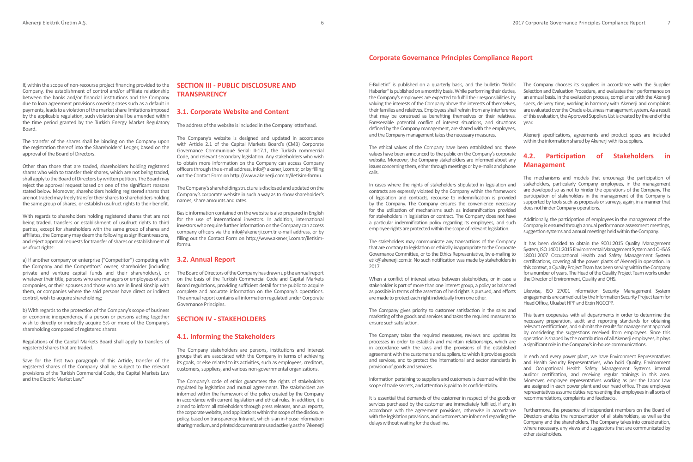If, within the scope of non-recourse project financing provided to the Company, the establishment of control and/or affiliate relationship between the banks and/or financial institutions and the Company due to loan agreement provisions covering cases such as a default in payments, leads to a violation of the market share limitations imposed by the applicable regulation, such violation shall be amended within the time period granted by the Turkish Energy Market Regulatory Board.

The transfer of the shares shall be binding on the Company upon the registration thereof into the Shareholders' Ledger, based on the approval of the Board of Directors.

Other than those that are traded, shareholders holding registered shares who wish to transfer their shares, which are not being traded, shall apply to the Board of Directors by written petition. The Board may reject the approval request based on one of the significant reasons stated below. Moreover, shareholders holding registered shares that are not traded may freely transfer their shares to shareholders holding the same group of shares, or establish usufruct rights to their benefit.

With regards to shareholders holding registered shares that are not being traded, transfers or establishment of usufruct rights to third parties, except for shareholders with the same group of shares and affiliates, the Company may deem the following as significant reasons, and reject approval requests for transfer of shares or establishment of usufruct rights:

a) If another company or enterprise ("Competitor") competing with the Company and the Competitors' owner, shareholder (including private and venture capital funds and their shareholders), or whatever their title, persons who are managers or employees of such companies, or their spouses and those who are in lineal kinship with them, or companies where the said persons have direct or indirect control, wish to acquire shareholding;

b) With regards to the protection of the Company's scope of business or economic independency, if a person or persons acting together wish to directly or indirectly acquire 5% or more of the Company's shareholding composed of registered shares

Regulations of the Capital Markets Board shall apply to transfers of registered shares that are traded.

Save for the first two paragraph of this Article, transfer of the registered shares of the Company shall be subject to the relevant provisions of the Turkish Commercial Code, the Capital Markets Law and the Electric Market Law."

# **SECTION III - PUBLIC DISCLOSURE AND TRANSPARENCY**

## **3.1. Corporate Website and Content**

The address of the website is included in the Company letterhead.

The Company's website is designed and updated in accordance with Article 2.1 of the Capital Markets Board's (CMB) Corporate Governance Communiqué Serial: II-17.1, the Turkish commercial Code, and relevant secondary legislation. Any stakeholders who wish to obtain more information on the Company can access Company officers through the e-mail address, info@ akenerji.com.tr, or by filling out the Contact Form on http://www.akenerji.com.tr/iletisim-formu.

The Company's shareholding structure is disclosed and updated on the Company's corporate website in such a way as to show shareholder's names, share amounts and rates.

Basic information contained on the website is also prepared in English for the use of international investors. In addition, international investors who require further information on the Company can access company officers via the info@akenerji.com.tr e-mail address, or by filling out the Contact Form on http://www.akenerji.com.tr/iletisimformu.

#### **3.2. Annual Report**

The Board of Directors of the Company has drawn up the annual report on the basis of the Turkish Commercial Code and Capital Markets Board regulations, providing sufficient detail for the public to acquire complete and accurate information on the Company's operations. The annual report contains all information regulated under Corporate Governance Principles.

## **SECTION IV - STAKEHOLDERS**

## **4.1. Informing the Stakeholders**

The Company stakeholders are persons, institutions and interest groups that are associated with the Company in terms of achieving its goals, or else related to its activities, such as employees, creditors, customers, suppliers, and various non-governmental organizations.

The Company's code of ethics guarantees the rights of stakeholders regulated by legislation and mutual agreements. The stakeholders are informed within the framework of the policy created by the Company in accordance with current legislation and ethical rules. In addition, it is aimed to inform all stakeholders through press releases, annual reports, the corporate website, and applications within the scope of the disclosure policy, based on transparency. Intranet, which is an in-house information sharing medium, and printed documents are used actively, as the "Akenerji

E-Bulletin" is published on a quarterly basis, and the bulletin "Akkök Haberler" is published on a monthly basis. While performing their duties, the Company's employees are expected to fulfill their responsibilities by valuing the interests of the Company above the interests of themselves, their families and relatives. Employees shall refrain from any interference that may be construed as benefiting themselves or their relatives. Foreseeable potential conflict of interest situations, and situations defined by the Company management, are shared with the employees, and the Company management takes the necessary measures.

The ethical values of the Company have been established and these values have been announced to the public on the Company's corporate website. Moreover, the Company stakeholders are informed about any issues concerning them, either through meetings or by e-mails and phone calls.

In cases where the rights of stakeholders stipulated in legislation and contracts are expressly violated by the Company within the framework of legislation and contracts, recourse to indemnification is provided by the Company. The Company ensures the convenience necessary for the utilization of mechanisms such as indemnification provided for stakeholders in legislation or contract. The Company does not have a particular indemnification policy regarding its employees, and such employee rights are protected within the scope of relevant legislation.

The stakeholders may communicate any transactions of the Company that are contrary to legislation or ethically inappropriate to the Corporate Governance Committee, or to the Ethics Representative, by e-mailing to etik@akenerij.com.tr. No such notification was made by stakeholders in 2017.

When a conflict of interest arises between stakeholders, or in case a stakeholder is part of more than one interest group, a policy as balanced as possible in terms of the assertion of held rights is pursued, and efforts are made to protect each right individually from one other.

The Company gives priority to customer satisfaction in the sales and marketing of the goods and services and takes the required measures to ensure such satisfaction.

The Company takes the required measures, reviews and updates its processes in order to establish and maintain relationships, which are in accordance with the laws and the provisions of the established agreement with the customers and suppliers, to which it provides goods and services, and to protect the international and sector standards in provision of goods and services.

Information pertaining to suppliers and customers is deemed within the scope of trade secrets, and attention is paid to its confidentiality.

It is essential that demands of the customer in respect of the goods or services purchased by the customer are immediately fulfilled, if any, in accordance with the agreement provisions, otherwise in accordance with the legislation provisions, and customers are informed regarding the delays without waiting for the deadline.

The Company chooses its suppliers in accordance with the Supplier Selection and Evaluation Procedure, and evaluates their performance on an annual basis. In the evaluation process, compliance with the Akenerji specs, delivery time, working in harmony with Akenerji and complaints are evaluated over the Oracle e-business management system. As a result of this evaluation, the Approved Suppliers List is created by the end of the year.

Akenerji specifications, agreements and product specs are included within the information shared by Akenerji with its suppliers.

# **4.2. Participation of Stakeholders in Management**

The mechanisms and models that encourage the participation of stakeholders, particularly Company employees, in the management are developed so as not to hinder the operations of the Company. The participation of stakeholders in the management of the Company is supported by tools such as proposals or surveys, again, in a manner that does not hinder Company operations.

Additionally, the participation of employees in the management of the Company is ensured through annual performance assessment meetings, suggestion systems and annual meetings held within the Company.

It has been decided to obtain the 9001:2015 Quality Management System, ISO 14001:2015 Environmental Management System and OHSAS 18001:2007 Occupational Health and Safety Management System certifications, covering all the power plants of Akenerji in operation. In this context, a Quality Project Team has been serving within the Company for a number of years. The Head of the Quality Project Team works under the Director of Environment, Quality and OHS.

Likewise, ISO 27001 Information Security Management System engagements are carried out by the Information Security Project team for Head Office, Uluabat HPP and Erzin NGCCPP.

This team cooperates with all departments in order to determine the necessary preparation, audit and reporting standards for obtaining relevant certifications, and submits the results for management approval by considering the suggestions received from employees. Since this operation is shaped by the contribution of all Akenerji employees, it plays a significant role in the Company's in-house communications.

In each and every power plant, we have Environment Representatives and Health Security Representatives, who hold Quality, Environment and Occupational Health Safety Management Systems internal auditor certification, and receiving regular trainings in this area. Moreover, employee representatives working as per the Labor Law are assigned in each power plant and our head office. These employee representatives assume duties representing the employees in all sorts of recommendations, complaints and feedbacks.

Furthermore, the presence of independent members on the Board of Directors enables the representation of all stakeholders, as well as the Company and the shareholders. The Company takes into consideration, where necessary, any views and suggestions that are communicated by other stakeholders.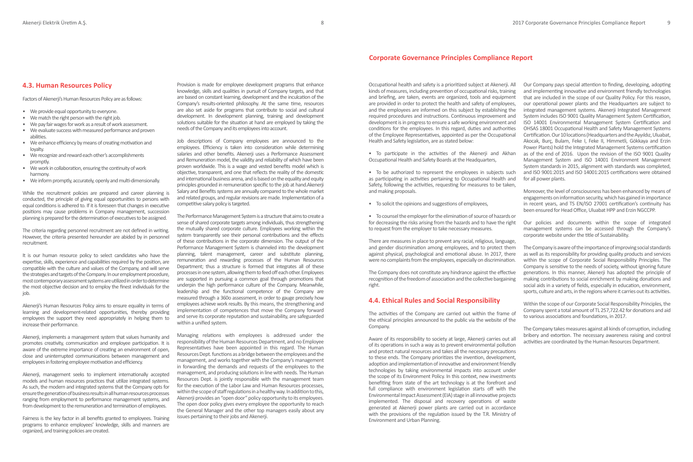Occupational health and safety is a prioritized subject at Akenerji. All kinds of measures, including prevention of occupational risks, training and briefing, are taken, events are organized, tools and equipment are provided in order to protect the health and safety of employees, and the employees are informed on this subject by establishing the required procedures and instructions. Continuous improvement and development is in progress to ensure a safe working environment and conditions for the employees. In this regard, duties and authorities of the Employee Representatives, appointed as per the Occupational Health and Safety legislation, are as stated below:

• To participate in the activities of the Akenerji and Akhan Occupational Health and Safety Boards at the Headquarters,

• To be authorized to represent the employees in subjects such as participating in activities pertaining to Occupational Health and Safety, following the activities, requesting for measures to be taken, and making proposals.

• To solicit the opinions and suggestions of employees,

• To counsel the employer for the elimination of source of hazards or for decreasing the risks arising from the hazards and to have the right to request from the employer to take necessary measures.

There are measures in place to prevent any racial, religious, language, and gender discrimination among employees, and to protect them against physical, psychological and emotional abuse. In 2017, there were no complaints from the employees, especially on discrimination.

The Company does not constitute any hindrance against the effective recognition of the freedom of association and the collective bargaining right.

# **4.4. Ethical Rules and Social Responsibility**

The activities of the Company are carried out within the frame of the ethical principles announced to the public via the website of the Company.

Aware of its responsibility to society at large, Akenerji carries out all of its operations in such a way as to prevent environmental pollution and protect natural resources and takes all the necessary precautions to these ends. The Company prioritizes the invention, development, adoption and implementation of innovative and environment friendly technologies by taking environmental impacts into account under the scope of its Environment Policy. In this context, new investments benefiting from state of the art technology is at the forefront and full compliance with environment legislation starts off with the Environmental Impact Assessment (EIA) stage in all innovative projects implemented. The disposal and recovery operations of waste generated at Akenerji power plants are carried out in accordance with the provisions of the regulation issued by the T.R. Ministry of Environment and Urban Planning.

Our Company pays special attention to finding, developing, adopting and implementing innovative and environment friendly technologies that are included in the scope of our Quality Policy. For this reason, our operational power plants and the Headquarters are subject to integrated management systems. Akenerji Integrated Management System includes ISO 9001 Quality Management System Certification, ISO 14001 Environmental Management System Certification and OHSAS 18001 Occupational Health and Safety Management Systems Certification. Our 10 locations (Headquarters and the Ayyıldız, Uluabat, Akocak, Burç, Bulam, Feke I, Feke II, Himmetli, Gökkaya and Erzin Power Plants) hold the Integrated Management Systems certification as of the end of 2016. Upon the revision of the ISO 9001 Quality Management System and ISO 14001 Environment Management System standards in 2015, alignment with standards was completed, and ISO 9001:2015 and ISO 14001:2015 certifications were obtained for all power plants.

Moreover, the level of consciousness has been enhanced by means of engagements on information security, which has gained in importance in recent years, and TS EN/ISO 27001 certification's continuity has been ensured for Head Office, Uluabat HPP and Erzin NGCCPP.

Our policies and documents within the scope of integrated management systems can be accessed through the Company's corporate website under the title of Sustainability.

The Company is aware of the importance of improving social standards as well as its responsibility for providing quality products and services within the scope of Corporate Social Responsibility Principles. The Company is sensitive to the needs of society, without ignoring future generations. In this manner, Akenerji has adopted the principle of making contributions to social enrichment by making donations and social aids in a variety of fields, especially in education, environment, sports, culture and arts, in the regions where it carries out its activities.

Within the scope of our Corporate Social Responsibility Principles, the Company spent a total amount of TL 257,722.42 for donations and aid to various associations and foundations, in 2017.

The Company takes measures against all kinds of corruption, including bribery and extortion. The necessary awareness raising and control activities are coordinated by the Human Resources Department.

Provision is made for employee development programs that enhance knowledge, skills and qualities in pursuit of Company targets, and that are based on constant learning, development and the inculcation of the Company's results-oriented philosophy. At the same time, resources are also set aside for programs that contribute to social and cultural development. In development planning, training and development solutions suitable for the situation at hand are employed by taking the needs of the Company and its employees into account.

Job descriptions of Company employees are announced to the employees. Efficiency is taken into consideration while determining salaries and other benefits. Akenerji uses a Performance Assessment and Remuneration model, the validity and reliability of which have been proven worldwide. This is a wage and vested benefits model which is objective, transparent, and one that reflects the reality of the domestic and international business arena, and is based on the equality and equity principles grounded in remuneration specific to the job at hand.Akenerji Salary and Benefits systems are annually compared to the whole market and related groups, and regular revisions are made. Implementation of a competitive salary policy is targeted.

The Performance Management System is a structure that aims to create a sense of shared corporate targets among individuals, thus strengthening the mutually shared corporate culture. Employees working within the system transparently see their personal contributions and the effects of these contributions in the corporate dimension. The output of the Performance Management System is channeled into the development planning, talent management, career and substitute planning, remuneration and rewarding processes of the Human Resources Department; thus a structure is formed that integrates all of these processes in one system, allowing them to feed off each other. Employees are supported in pursuing a common goal through promotions that underpin the high performance culture of the Company. Meanwhile, leadership and the functional competence of the Company are measured through a 360o assessment, in order to gauge precisely how employees achieve work results. By this means, the strengthening and implementation of competences that move the Company forward and serve its corporate reputation and sustainability, are safeguarded within a unified system.

Managing relations with employees is addressed under the responsibility of the Human Resources Department, and no Employee Representatives have been appointed in this regard. The Human Resources Dept. functions as a bridge between the employees and the management, and works together with the Company's management in forwarding the demands and requests of the employees to the management, and producing solutions in line with needs. The Human Resources Dept. is jointly responsible with the management team for the execution of the Labor Law and Human Resources processes, within the scope of staff regulations in a healthy way. In addition to this, Akenerji provides an "open door" policy opportunity to its employees. The open door policy gives every employee the opportunity to reach the General Manager and the other top managers easily about any issues pertaining to their jobs and Akenerji.

## **4.3. Human Resources Policy**

Factors of Akenerji's Human Resources Policy are as follows:

- We provide equal opportunity to everyone.
- We match the right person with the right job.
- We pay fair wages for work as a result of work assessment. • We evaluate success with measured performance and proven abilities.
- We enhance efficiency by means of creating motivation and loyalty.
- We recognize and reward each other's accomplishments promptly.
- We work in collaboration, ensuring the continuity of work harmony.
- We inform promptly, accurately, openly and multi-dimensionally.

While the recruitment policies are prepared and career planning is conducted, the principle of giving equal opportunities to persons with equal conditions is adhered to. If it is foreseen that changes in executive positions may cause problems in Company management, succession planning is prepared for the determination of executives to be assigned.

The criteria regarding personnel recruitment are not defined in writing. However, the criteria presented hereunder are abided by in personnel recruitment.

It is our human resource policy to select candidates who have the expertise, skills, experience and capabilities required by the position, are compatible with the culture and values of the Company, and will serve the strategies and targets of the Company. In our employment procedure, most contemporary assessment systems are utilized in order to determine the most objective decision and to employ the finest individuals for the job.

Akenerji's Human Resources Policy aims to ensure equality in terms of learning and development-related opportunities, thereby providing employees the support they need appropriately in helping them to increase their performance.

Akenerii, implements a management system that values humanity and promotes creativity, communication and employee participation. It is aware of the extreme importance of creating an environment of open, close and uninterrupted communications between management and employees in fostering employee motivation and efficiency.

Akenerji, management seeks to implement internationally accepted models and human resources practices that utilize integrated systems. As such, the modern and integrated systems that the Company opts for ensure the generation of business results in all human resources processes ranging from employment to performance management systems, and from development to the remuneration and termination of employees.

Fairness is the key factor in all benefits granted to employees. Training programs to enhance employees' knowledge, skills and manners are organized, and training policies are created.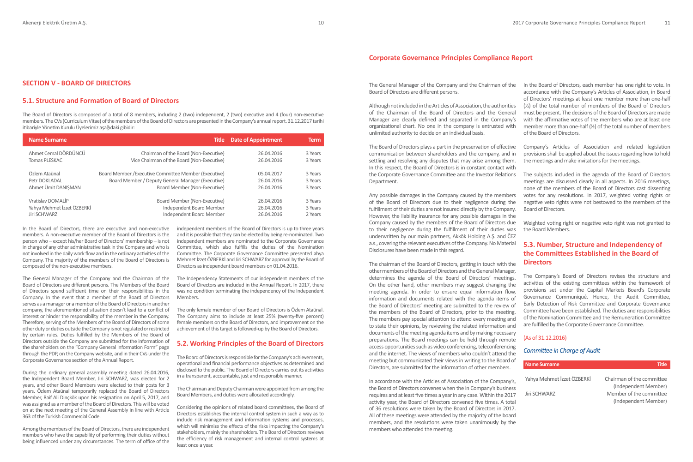**SECTION V - BOARD OF DIRECTORS**

# **5.1. Structure and Formation of Board of Directors**

The Board of Directors is composed of a total of 8 members, including 2 (two) independent, 2 (two) executive and 4 (four) non-executive members. The CVs (Curriculum Vitae) of the members of the Board of Directors are presented in the Company's annual report. 31.12.2017 tarihi itibariyle Yönetim Kurulu Üyelerimiz aşağıdaki gibidir:

| <b>Name Surname</b>        | Title                                                 | <b>Date of Appointment</b> | <b>Term</b> |
|----------------------------|-------------------------------------------------------|----------------------------|-------------|
| Ahmet Cemal DÖRDÜNCÜ       | Chairman of the Board (Non-Executive)                 | 26.04.2016                 | 3 Years     |
| Tomas PLESKAC              | Vice Chairman of the Board (Non-Executive)            | 26.04.2016                 | 3 Years     |
| Özlem Ataünal              | Board Member / Executive Committee Member (Executive) | 05.04.2017                 | 3 Years     |
| Petr DOKLADAL              | Board Member / Deputy General Manager (Executive)     | 26.04.2016                 | 3 Years     |
| Ahmet Ümit DANISMAN        | Board Member (Non-Executive)                          | 26.04.2016                 | 3 Years     |
| Vratislav DOMALİP          | Board Member (Non-Executive)                          | 26.04.2016                 | 3 Years     |
| Yahya Mehmet İzzet ÖZBERKİ | Independent Board Member                              | 26.04.2016                 | 3 Years     |
| Jiri SCHWARZ               | Independent Board Member                              | 26.04.2016                 | 2 Years     |

In the Board of Directors, there are executive and non-executive members. A non-executive member of the Board of Directors is the person who – except his/her Board of Directors' membership – is not in charge of any other administrative task in the Company and who is not involved in the daily work flow and in the ordinary activities of the Company. The majority of the members of the Board of Directors is composed of the non-executive members.

The General Manager of the Company and the Chairman of the Board of Directors are different persons. The Members of the Board of Directors spend sufficient time on their responsibilities in the Company. In the event that a member of the Board of Directors serves as a manager or a member of the Board of Directors in another company, the aforementioned situation doesn't lead to a conflict of interest or hinder the responsibility of the member in the Company. Therefore, serving of the Members of the Board of Directors of some other duty or duties outside the Company is not regulated or restricted by certain rules. Duties fulfilled by the Members of the Board of Directors outside the Company are submitted for the information of the shareholders on the "Company General Information Form" page through the PDP, on the Company website, and in their CVs under the Corporate Governance section of the Annual Report.

During the ordinary general assembly meeting dated 26.04.2016, the Independent Board Member, Jiri SCHWARZ, was elected for 2 years, and other Board Members were elected to their posts for 3 years. Özlem Ataünal temporarily replaced the Board of Directors Member, Raif Ali Dinçkök upon his resignation on April 5, 2017, and was assigned as a member of the Board of Directors. This will be voted on at the next meeting of the General Assembly in line with Article 363 of the Turkish Commercial Code.

Among the members of the Board of Directors, there are independent members who have the capability of performing their duties without being influenced under any circumstances. The term of office of the independent members of the Board of Directors is up to three years and it is possible that they can be elected by being re-nominated. Two independent members are nominated to the Corporate Governance Committee, which also fulfills the duties of the Nomination Committee. The Corporate Governance Committee presented ahya Mehmet İzzet ÖZBERKİ and Jiri SCHWARZ for approval by the Board of Directors as independent board members on 01.04.2016.

The Independency Statements of our independent members of the Board of Directors are included in the Annual Report. In 2017, there was no condition terminating the independency of the Independent Members.

The only female member of our Board of Directors is Özlem Ataünal. The Company aims to include at least 25% (twenty-five percent) female members on the Board of Directors, and improvement on the achievement of this target is followed-up by the Board of Directors.

# **5.2. Working Principles of the Board of Directors**

The Board of Directors is responsible for the Company's achievements, operational and financial performance objectives as determined and disclosed to the public. The Board of Directors carries out its activities in a transparent, accountable, just and responsible manner.

The Chairman and Deputy Chairman were appointed from among the Board Members, and duties were allocated accordingly.

Considering the opinions of related board committees, the Board of Directors establishes the internal control system in such a way as to include risk management and information systems and processes, which will minimize the effects of the risks impacting the Company's stakeholders, mainly the shareholders. The Board of Directors reviews the efficiency of risk management and internal control systems at least once a year.

The General Manager of the Company and the Chairman of the Board of Directors are different persons.

Although not included in the Articles of Association, the authorities of the Chairman of the Board of Directors and the General Manager are clearly defined and separated in the Company's organizational chart. No one in the company is entrusted with unlimited authority to decide on an individual basis.

The Board of Directors plays a part in the preservation of effective communication between shareholders and the company, and in settling and resolving any disputes that may arise among them. In this respect, the Board of Directors is in constant contact with the Corporate Governance Committee and the Investor Relations Department.

Any possible damages in the Company caused by the members of the Board of Directors due to their negligence during the fulfillment of their duties are not insured directly by the Company. However, the liability insurance for any possible damages in the Company caused by the members of the Board of Directors due to their negligence during the fulfillment of their duties was underwritten by our main partners, Akkök Holding A.Ş. and ČEZ a.s., covering the relevant executives of the Company. No Material Disclosures have been made in this regard.

The chairman of the Board of Directors, getting in touch with the other members of the Board of Directors and the General Manager, determines the agenda of the Board of Directors' meetings. On the other hand, other members may suggest changing the meeting agenda. In order to ensure equal information flow, information and documents related with the agenda items of the Board of Directors' meeting are submitted to the review of the members of the Board of Directors, prior to the meeting. The members pay special attention to attend every meeting and to state their opinions, by reviewing the related information and documents of the meeting agenda items and by making necessary preparations. The Board meetings can be held through remote access opportunities such as video conferencing, teleconferencing and the internet. The views of members who couldn't attend the meeting but communicated their views in writing to the Board of Directors, are submitted for the information of other members.

In accordance with the Articles of Association of the Company's, the Board of Directors convenes when the in Company's business requires and at least five times a year in any case. Within the 2017 activity year, the Board of Directors convened five times. A total of 36 resolutions were taken by the Board of Directors in 2017. All of these meetings were attended by the majority of the board members, and the resolutions were taken unanimously by the members who attended the meeting.

In the Board of Directors, each member has one right to vote. In accordance with the Company's Articles of Association, in Board of Directors' meetings at least one member more than one-half  $(\frac{1}{2})$  of the total number of members of the Board of Directors must be present. The decisions of the Board of Directors are made with the affirmative votes of the members who are at least one member more than one-half (½) of the total number of members of the Board of Directors.

Company's Articles of Association and related legislation provisions shall be applied about the issues regarding how to hold the meetings and make invitations for the meetings.

The subjects included in the agenda of the Board of Directors meetings are discussed clearly in all aspects. In 2016 meetings, none of the members of the Board of Directors cast dissenting votes for any resolutions. In 2017, weighted voting rights or negative veto rights were not bestowed to the members of the Board of Directors.

Weighted voting right or negative veto right was not granted to the Board Members.

# **5.3. Number, Structure and Independency of the Committees Established in the Board of Directors**

The Company's Board of Directors revises the structure and activities of the existing committees within the framework of provisions set under the Capital Markets Board's Corporate Governance Communiqué. Hence, the Audit Committee, Early Detection of Risk Committee and Corporate Governance Committee have been established. The duties and responsibilities of the Nomination Committee and the Remuneration Committee are fulfilled by the Corporate Governance Committee.

#### (As of 31.12.2016)

## *Committee in Charge of Audit*

| <b>Name Surname</b>        | Title                     |
|----------------------------|---------------------------|
| Yahya Mehmet İzzet ÖZBERKİ | Chairman of the committee |
|                            | (Independent Member)      |
| Jiri SCHWARZ               | Member of the committee   |
|                            | (Independent Member)      |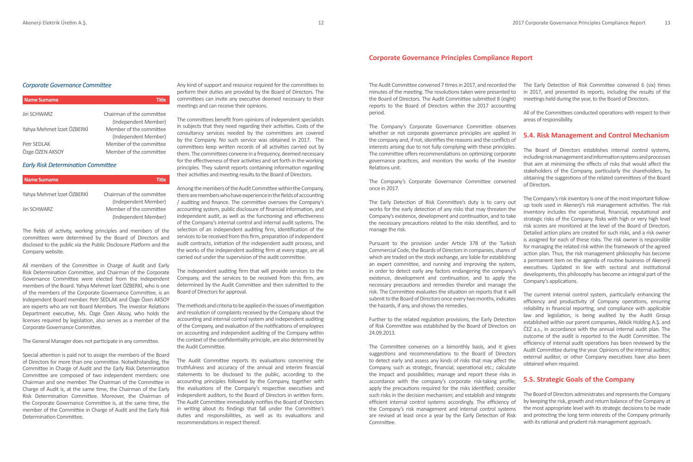#### *Corporate Governance Committee*

| <b>Name Surname</b>        | Title                     |
|----------------------------|---------------------------|
| <b>Jiri SCHWARZ</b>        | Chairman of the committee |
|                            | (Independent Member)      |
| Yahya Mehmet İzzet ÖZBERKİ | Member of the committee   |
|                            | (Independent Member)      |
| Petr SEDLAK                | Member of the committee   |
| Özge ÖZEN AKSOY            | Member of the committee   |

# *Early Risk Determination Committee*

| <b>Name Surname</b>        | Title                     |
|----------------------------|---------------------------|
|                            |                           |
| Yahya Mehmet İzzet ÖZBERKİ | Chairman of the committee |
|                            | (Independent Member)      |
| <b>Jiri SCHWARZ</b>        | Member of the committee   |
|                            | (Independent Member)      |

The fields of activity, working principles and members of the committees were determined by the Board of Directors and disclosed to the public via the Public Disclosure Platform and the Company website.

All members of the Committee in Charge of Audit and Early Risk Determination Committee, and Chairman of the Corporate Governance Committee were elected from the independent members of the Board. Yahya Mehmet İzzet ÖZBERKİ, who is one of the members of the Corporate Governance Committee, is an Independent Board member. Petr SEDLAK and Özge Özen AKSOY are experts who are not Board Members. The Investor Relations Department executive, Ms. Özge Özen Aksoy, who holds the licenses required by legislation, also serves as a member of the Corporate Governance Committee.

The General Manager does not participate in any committee.

Special attention is paid not to assign the members of the Board of Directors for more than one committee. Notwithstanding, the Committee in Charge of Audit and the Early Risk Determination Committee are composed of two independent members: one Chairman and one member. The Chairman of the Committee in Charge of Audit is, at the same time, the Chairman of the Early Risk Determination Committee. Moreover, the Chairman of the Corporate Governance Committee is, at the same time, the member of the Committee in Charge of Audit and the Early Risk Determination Committee.

Any kind of support and resource required for the committees to perform their duties are provided by the Board of Directors. The committees can invite any executive deemed necessary to their meetings and can receive their opinions.

The committees benefit from opinions of independent specialists in subjects that they need regarding their activities. Costs of the consultancy services needed by the committees are covered by the Company. No such service was obtained in 2017. The committees keep written records of all activities carried out by them. The committees convene in a frequency, deemed necessary for the effectiveness of their activities and set forth in the working principles. They submit reports containing information regarding their activities and meeting results to the Board of Directors.

Among the members of the Audit Committee within the Company, there are members who have experience in the fields of accounting / auditing and finance. The committee oversees the Company's accounting system, public disclosure of financial information, and independent audit, as well as the functioning and effectiveness of the Company's internal control and internal audit systems. The selection of an independent auditing firm, identification of the services to be received from this firm, preparation of independent audit contracts, initiation of the independent audit process, and the works of the independent auditing firm at every stage, are all carried out under the supervision of the audit committee.

The independent auditing firm that will provide services to the Company, and the services to be received from this firm, are determined by the Audit Committee and then submitted to the Board of Directors for approval.

The methods and criteria to be applied in the issues of investigation and resolution of complaints received by the Company about the accounting and internal control system and independent auditing of the Company, and evaluation of the notifications of employees on accounting and independent auditing of the Company within the context of the confidentiality principle, are also determined by the Audit Committee.

The Audit Committee reports its evaluations concerning the truthfulness and accuracy of the annual and interim financial statements to be disclosed to the public, according to the accounting principles followed by the Company, together with the evaluations of the Company's respective executives and independent auditors, to the Board of Directors in written form. The Audit Committee immediately notifies the Board of Directors in writing about its findings that fall under the Committee's duties and responsibilities, as well as its evaluations and recommendations in respect thereof.

The Audit Committee convened 7 times in 2017, and recorded the minutes of the meeting. The resolutions taken were presented to the Board of Directors. The Audit Committee submitted 8 (eight) reports to the Board of Directors within the 2017 accounting period.

The Company's Corporate Governance Committee observes whether or not corporate governance principles are applied in the company and, if not, identifies the reasons and the conflicts of interests arising due to not fully complying with these principles. The committee offers recommendations on optimizing corporate governance practices, and monitors the works of the Investor Relations unit.

The Company's Corporate Governance Committee convened once in 2017.

The Early Detection of Risk Committee's duty is to carry out works for the early detection of any risks that may threaten the Company's existence, development and continuation, and to take the necessary precautions related to the risks identified, and to manage the risk.

Pursuant to the provision under Article 378 of the Turkish Commercial Code, the Boards of Directors in companies, shares of which are traded on the stock exchange, are liable for establishing an expert committee, and running and improving the system, in order to detect early any factors endangering the company's existence, development and continuation, and to apply the necessary precautions and remedies therefor and manage the risk. The Committee evaluates the situation on reports that it will submit to the Board of Directors once every two months, indicates the hazards, if any, and shows the remedies.

Further to the related regulation provisions, the Early Detection of Risk Committee was established by the Board of Directors on 24.09.2013.

The Committee convenes on a bimonthly basis, and it gives suggestions and recommendations to the Board of Directors to detect early and assess any kinds of risks that may affect the Company, such as strategic, financial, operational etc.; calculate the impact and possibilities; manage and report these risks in accordance with the company's corporate risk-taking profile; apply the precautions required for the risks identified; consider such risks in the decision mechanism; and establish and integrate efficient internal control systems accordingly. The efficiency of the Company's risk management and internal control systems are revised at least once a year by the Early Detection of Risk Committee.

The Early Detection of Risk Committee convened 6 (six) times in 2017, and presented its reports, including the results of the meetings held during the year, to the Board of Directors.

All of the Committees conducted operations with respect to their areas of responsibility.

## **5.4. Risk Management and Control Mechanism**

The Board of Directors establishes internal control systems, including risk management and information systems and processes that aim at minimizing the effects of risks that would affect the stakeholders of the Company, particularly the shareholders, by obtaining the suggestions of the related committees of the Board of Directors.

The Company's risk inventory is one of the most important followup tools used in Akenerji's risk management activities. The risk inventory includes the operational, financial, reputational and strategic risks of the Company. Risks with high or very high level risk scores are monitored at the level of the Board of Directors. Detailed action plans are created for such risks, and a risk owner is assigned for each of these risks. The risk owner is responsible for managing the related risk within the framework of the agreed action plan. Thus, the risk management philosophy has become a permanent item on the agenda of routine business of Akenerji executives. Updated in line with sectoral and institutional developments, this philosophy has become an integral part of the Company's applications.

The current internal control system, particularly enhancing the efficiency and productivity of Company operations, ensuring reliability in financial reporting, and compliance with applicable law and legislation, is being audited by the Audit Group established within our parent companies, Akkök Holding A.Ş. and ČEZ a.s., in accordance with the annual internal audit plan. The outcome of the audit is reported to the Audit Committee. The efficiency of internal audit operations has been reviewed by the Audit Committee during the year. Opinions of the internal auditor, external auditor, or other Company executives have also been obtained when required.

# **5.5. Strategic Goals of the Company**

The Board of Directors administrates and represents the Company by keeping the risk, growth and return balance of the Company at the most appropriate level with its strategic decisions to be made and protecting the long term interests of the Company primarily with its rational and prudent risk management approach.